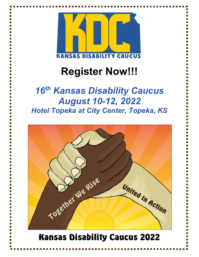

# **Register Now!!!**

# *16th Kansas Disability Caucus August 10-12, 2022 Hotel Topeka at City Center, Topeka, KS*

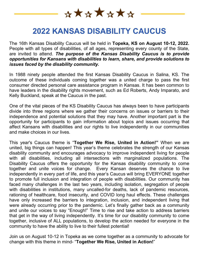\*\*\*\*\*\*\*

### **2022 KANSAS DISABILITY CAUCUS**

The 16th Kansas Disability Caucus will be held in **Topeka, KS on August 10-12, 2022.** People with all types of disabilities, of all ages, representing every county of the State, are invited to attend. *The purpose of the Kansas Disability Caucus is to provide opportunities for Kansans with disabilities to learn, share, and provide solutions to issues faced by the disability community.*

In 1988 ninety people attended the first Kansas Disability Caucus in Salina, KS. The outcome of these individuals coming together was a united charge to pass the first consumer directed personal care assistance program in Kansas. It has been common to have leaders in the disability rights movement, such as Ed Roberts, Andy Imparato, and Kelly Buckland, speak at the Caucus in the past.

One of the vital pieces of the KS Disability Caucus has always been to have participants divide into three regions where we gather their concerns on issues or barriers to their independence and potential solutions that they may have. Another important part is the opportunity for participants to gain information about topics and issues occurring that affect Kansans with disabilities and our rights to live independently in our communities and make choices in our lives.

This year's Caucus theme is "**Together We Rise, United in Action!"** When we are united, big things can happen! This year's theme celebrates the strength of our Kansas disability community and encourages advocacy to improve independent living for people with all disabilities, including all intersections with marginalized populations. The Disability Caucus offers the opportunity for the Kansas disability community to come together and unite voices for change. Every Kansan deserves the chance to live independently in every part of life, and this year's Caucus will bring EVERYONE together to promote full inclusion and integration of people with disabilities. Our community has faced many challenges in the last two years, including isolation, segregation of people with disabilities in institutions, many uncalled-for deaths, lack of pandemic resources, rationing of healthcare, food insecurity, and COVID long haul effects. These challenges have only increased the barriers to integration, inclusion, and independent living that were already occurring prior to the pandemic. Let's finally gather back as a community and unite our voices to say "Enough!" Time to rise and take action to address barriers that get in the way of living independently. It's time for our disability community to come together, inclusive of ALL populations, to develop the action needed for everyone in the community to have the ability to live to their fullest potential!

Join us on August 10-12 in Topeka as we come together as a community to advocate for change with this theme in mind- "**Together We Rise, United in Action!**"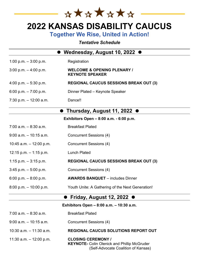

### **2022 KANSAS DISABILITY CAUCUS**

**Together We Rise, United in Action!**

*Tentative Schedule*

| Wednesday, August 10, 2022 (             |                                                                                 |  |  |  |
|------------------------------------------|---------------------------------------------------------------------------------|--|--|--|
| 1:00 p.m. $-3:00$ p.m.                   | Registration                                                                    |  |  |  |
| $3:00$ p.m. $-4:00$ p.m.                 | <b>WELCOME &amp; OPENING PLENARY /</b><br><b>KEYNOTE SPEAKER</b>                |  |  |  |
| 4:00 p.m. $-5:30$ p.m.                   | <b>REGIONAL CAUCUS SESSIONS BREAK OUT (3)</b>                                   |  |  |  |
| 6:00 p.m. $-7:00$ p.m.                   | Dinner Plated - Keynote Speaker                                                 |  |  |  |
| 7:30 p.m. $-$ 12:00 a.m.                 | Dance!!                                                                         |  |  |  |
|                                          | Thursday, August 11, 2022 ●                                                     |  |  |  |
|                                          | Exhibitors Open – 8:00 a.m. - 6:00 p.m.                                         |  |  |  |
| $7:00$ a.m. $-8:30$ a.m.                 | <b>Breakfast Plated</b>                                                         |  |  |  |
| $9:00$ a.m. $-10:15$ a.m.                | <b>Concurrent Sessions (4)</b>                                                  |  |  |  |
| 10:45 a.m. $-$ 12:00 p.m.                | <b>Concurrent Sessions (4)</b>                                                  |  |  |  |
| 12:15 p.m. $-$ 1:15 p.m.                 | <b>Lunch Plated</b>                                                             |  |  |  |
| 1:15 p.m. $-3:15$ p.m.                   | <b>REGIONAL CAUCUS SESSIONS BREAK OUT (3)</b>                                   |  |  |  |
| $3:45$ p.m. $-5:00$ p.m.                 | <b>Concurrent Sessions (4)</b>                                                  |  |  |  |
| 6:00 p.m. $-8:00$ p.m.                   | <b>AWARDS BANQUET</b> - includes Dinner                                         |  |  |  |
| $8:00$ p.m. $-10:00$ p.m.                | Youth Unite: A Gathering of the Next Generation!                                |  |  |  |
| <b>Friday, August 12, 2022</b>           |                                                                                 |  |  |  |
| Exhibitors Open - 8:00 a.m. - 10:30 a.m. |                                                                                 |  |  |  |
| $7:00$ a.m. $-8:30$ a.m.                 | <b>Breakfast Plated</b>                                                         |  |  |  |
| $9:00$ a.m. $-10:15$ a.m.                | <b>Concurrent Sessions (4)</b>                                                  |  |  |  |
| $10:30$ a.m. $-11:30$ a.m.               | <b>REGIONAL CAUCUS SOLUTIONS REPORT OUT</b>                                     |  |  |  |
| 11:30 a.m. $-$ 12:00 p.m.                | <b>CLOSING CEREMONY /</b><br><b>KEYNOTE- Colin Olenick and Phillip McGruder</b> |  |  |  |

(Self-Advocate Coalition of Kansas)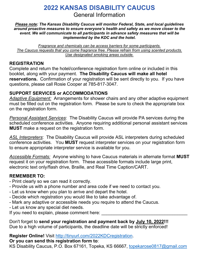### **2022 KANSAS DISABILITY CAUCUS** General Information

*Please note: The Kansas Disability Caucus will monitor Federal, State, and local guidelines around proactive measures to ensure everyone's health and safety as we move closer to the event. We will communicate to all participants in advance safety measures that will be implemented by the KDC and the hotel.*

*Fragrance and chemicals can be access barriers for some participants. The Caucus requests that you come fragrance free. Please refrain from using scented products. Use designated smoking areas outside.*

#### **REGISTRATION**

Complete and return the hotel/conference registration form online or included in this booklet, along with your payment. **The Disability Caucus will make all hotel reservations.** Confirmation of your registration will be sent directly to you. If you have questions, please call Rosie Cooper at 785-817-3047.

#### **SUPPORT SERVICES or ACCOMMODATIONS**

*Adaptive Equipment:* Arrangements for shower chairs and any other adaptive equipment must be filled out on the registration form. Please be sure to check the appropriate box on the registration form.

*Personal Assistant Services*: The Disability Caucus will provide PA services during the scheduled conference activities. Anyone requiring additional personal assistant services **MUST** make a request on the registration form.

*ASL Interpreters*: The Disability Caucus will provide ASL interpreters during scheduled conference activities. You **MUST** request interpreter services on your registration form to ensure appropriate interpreter service is available for you.

*Accessible Formats:* Anyone wishing to have Caucus materials in alternate format **MUST** request it on your registration form. These accessible formats include large print, electronic text only/flash drive, Braille, and Real Time Caption/CART.

#### **REMEMBER TO:**

- Print clearly so we can read it correctly.
- Provide us with a phone number and area code if we need to contact you.
- Let us know when you plan to arrive and depart the hotel.
- Decide which registration you would like to take advantage of.
- Mark any adaptive or accessible needs you require to attend the Caucus.
- Let us know any special diet needs.

If you need to explain, please comment here:

Don't forget to **send your registration and payment back by July 10, 2022!!!** Due to a high volume of participants, the deadline date will be strictly enforced!

**Register Online!** Visit [http://tinyurl.com/2022KDCregistration.](http://tinyurl.com/2022KDCregistration)

#### **Or you can send this registration form to**:

KS Disability Caucus, P.O. Box 67161, Topeka, KS 66667, [topekarose0817@gmail.com](mailto:topekarose0817@gmail.com)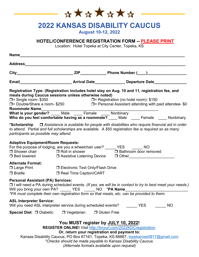\*\*\*\*\*\*\*

## **2022 KANSAS DISABILITY CAUCUS**

**August 10-12, 2022**

#### **HOTEL/CONFERENCE REGISTRATION FORM -- PLEASE PRINT**

Location: Hotel Topeka at City Center, Topeka, KS

| Name                                                                                                  |                                                                                                                                   |                                                                                                                                                                                                                       |           |
|-------------------------------------------------------------------------------------------------------|-----------------------------------------------------------------------------------------------------------------------------------|-----------------------------------------------------------------------------------------------------------------------------------------------------------------------------------------------------------------------|-----------|
|                                                                                                       |                                                                                                                                   |                                                                                                                                                                                                                       |           |
|                                                                                                       |                                                                                                                                   |                                                                                                                                                                                                                       |           |
|                                                                                                       |                                                                                                                                   |                                                                                                                                                                                                                       |           |
| meals during Caucus sessions unless otherwise noted)                                                  |                                                                                                                                   | Registration Type: (Registration includes hotel stay on Aug. 10 and 11, registration fee, and                                                                                                                         |           |
| Roommate Name                                                                                         |                                                                                                                                   |                                                                                                                                                                                                                       |           |
|                                                                                                       |                                                                                                                                   | Who do you feel comfortable having as a roommate? ____ Male ____ Female ____ Nonbinary                                                                                                                                |           |
| participants as possible may attend.                                                                  |                                                                                                                                   | *Scholarship $\Box$ Assistance is available for people with disabilities who require financial aid in order<br>to attend. Partial and full scholarships are available. A \$50 registration fee is required so as many |           |
| <b>Adaptive Equipment/Room Requests:</b>                                                              |                                                                                                                                   | For the purpose of lodging, are you a wheelchair user? ______ YES _______ NO<br>□ Shower chair □ Roll in shower □ Bathroom door removed □ Bed lowered □ Assistive Listening Device □ Other                            |           |
| <b>Alternate Format:</b><br>□ Large Print □ Electronic Text Only/Flash Drive<br>$\Box$ Braille        | □ Real Time Caption/CART                                                                                                          |                                                                                                                                                                                                                       |           |
| <b>Personal Assistant (PA) Services:</b><br>Will you bring your own PA? ______ YES ______ NO *PA Name |                                                                                                                                   | □ I will need a PA during scheduled events. (If yes, we will be in contact to try to best meet your needs.)<br>*PA must complete their own registration form so that meals, etc. can be provided to them.             |           |
| <b>ASL Interpreter Service:</b><br>Will you need ASL interpreter service during scheduled events?     |                                                                                                                                   | YES.                                                                                                                                                                                                                  | <b>NO</b> |
| Special Diet: □ Diabetic                                                                              | $\Box$ Vegetarian                                                                                                                 | □ Gluten Free                                                                                                                                                                                                         |           |
|                                                                                                       | You MUST register by JULY 10, 2022!<br>Or, return your registration and payment to:<br>(Alternate formats available upon request) | REGISTER ONLINE! Visit http://tinyurl.com/2022KDCregistration.<br>Kansas Disability Caucus, PO Box 67161, Topeka, KS 66667, topekarose0817@gmail.com<br>*Checks should be made payable to Kansas Disability Caucus.   |           |